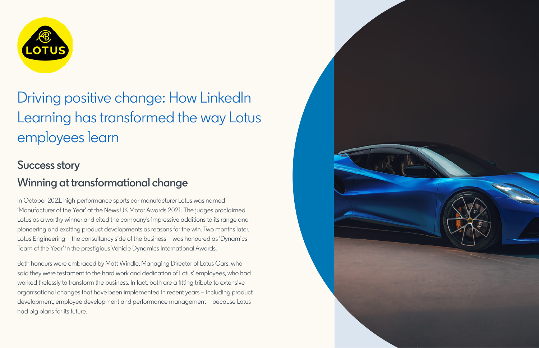

# Driving positive change: How LinkedIn Learning has transformed the way Lotus employees learn

#### **Success story**

## **Winning at transformational change**

In October 2021, high-performance sports car manufacturer Lotus was named 'Manufacturer of the Year' at the News UK Motor Awards 2021. The judges proclaimed Lotus as a worthy winner and cited the company's impressive additions to its range and pioneering and exciting product developments as reasons for the win. Two months later, Lotus Engineering – the consultancy side of the business – was honoured as 'Dynamics Team of the Year' in the prestigious Vehicle Dynamics International Awards.

Both honours were embraced by Matt Windle, Managing Director of Lotus Cars, who said they were testament to the hard work and dedication of Lotus' employees, who had worked tirelessly to transform the business. In fact, both are a fitting tribute to extensive organisational changes that have been implemented in recent years – including product development, employee development and performance management – because Lotus had big plans for its future.

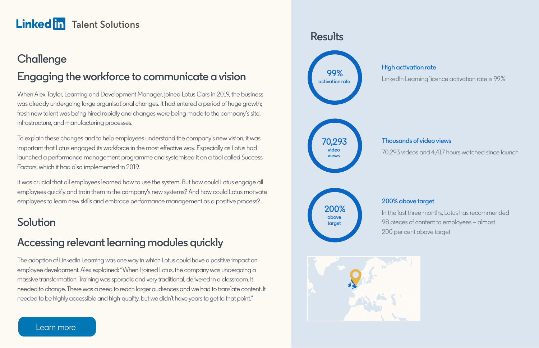## **Challenge Engaging the workforce to communicate a vision**

When Alex Taylor, Learning and Development Manager, joined Lotus Cars in 2019, the business was already undergoing large organisational changes. It had entered a period of huge growth; fresh new talent was being hired rapidly and changes were being made to the company's site, infrastructure, and manufacturing processes.

To explain these changes and to help employees understand the company's new vision, it was important that Lotus engaged its workforce in the most effective way. Especially as Lotus had launched a performance management programme and systemised it on a tool called Success Factors, which it had also implemented in 2019.

It was crucial that all employees learned how to use the system. But how could Lotus engage all employees quickly and train them in the company's new systems? And how could Lotus motivate employees to learn new skills and embrace performance management as a positive process?

#### **Solution**

#### **Accessing relevant learning modules quickly**

The adoption of LinkedIn Learning was one way in which Lotus could have a positive impact on employee development. Alex explained: "When I joined Lotus, the company was undergoing a massive transformation. Training was sporadic and very traditional, delivered in a classroom. It needed to change. There was a need to reach larger audiences and we had to translate content. It needed to be highly accessible and high-quality, but we didn't have years to get to that point."

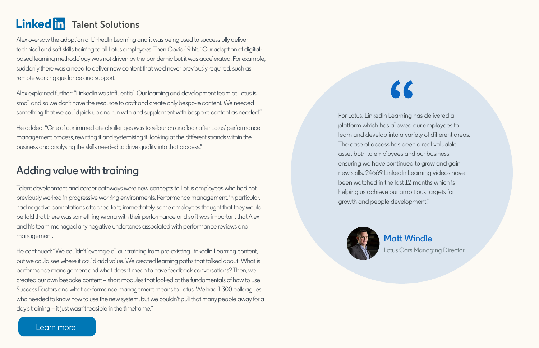Alex oversaw the adoption of LinkedIn Learning and it was being used to successfully deliver technical and soft skills training to all Lotus employees. Then Covid-19 hit. "Our adoption of digitalbased learning methodology was not driven by the pandemic but it was accelerated. For example, suddenly there was a need to deliver new content that we'd never previously required, such as remote working guidance and support.

Alex explained further: "LinkedIn was influential. Our learning and development team at Lotus is small and so we don't have the resource to craft and create only bespoke content. We needed something that we could pick up and run with and supplement with bespoke content as needed."

He added: "One of our immediate challenges was to relaunch and look after Lotus' performance management process, rewriting it and systemising it; looking at the different strands within the business and analysing the skills needed to drive quality into that process."

#### **Adding value with training**

Talent development and career pathways were new concepts to Lotus employees who had not previously worked in progressive working environments. Performance management, in particular, had negative connotations attached to it; immediately, some employees thought that they would be told that there was something wrong with their performance and so it was important that Alex and his team managed any negative undertones associated with performance reviews and management.

He continued: "We couldn't leverage all our training from pre-existing LinkedIn Learning content, but we could see where it could add value. We created learning paths that talked about: What is performance management and what does it mean to have feedback conversations? Then, we created our own bespoke content – short modules that looked at the fundamentals of how to use Success Factors and what performance management means to Lotus. We had 1,300 colleagues who needed to know how to use the new system, but we couldn't pull that many people away for a day's training – it just wasn't feasible in the timeframe."

# $\mathcal{L}$

For Lotus, LinkedIn Learning has delivered a platform which has allowed our employees to learn and develop into a variety of different areas. The ease of access has been a real valuable asset both to employees and our business ensuring we have continued to grow and gain new skills. 24669 LinkedIn Learning videos have been watched in the last 12 months which is helping us achieve our ambitious targets for growth and people development."



**Matt Windle**  Lotus Cars Managing Director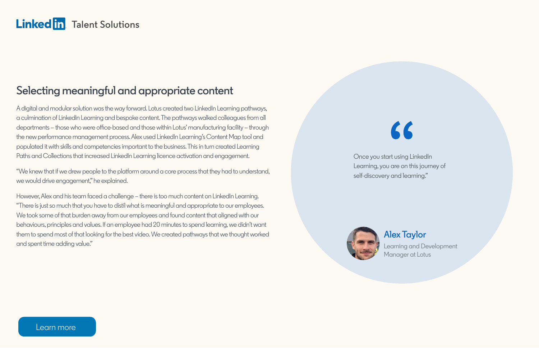#### **Selecting meaningful and appropriate content**

A digital and modular solution was the way forward. Lotus created two LinkedIn Learning pathways, a culmination of LinkedIn Learning and bespoke content. The pathways walked colleagues from all departments – those who were office-based and those within Lotus' manufacturing facility – through the new performance management process. Alex used LinkedIn Learning's Content Map tool and populated it with skills and competencies important to the business. This in turn created Learning Paths and Collections that increased LinkedIn Learning licence activation and engagement.

"We knew that if we drew people to the platform around a core process that they had to understand, we would drive engagement," he explained.

However, Alex and his team faced a challenge – there is too much content on LinkedIn Learning. "There is just so much that you have to distil what is meaningful and appropriate to our employees. We took some of that burden away from our employees and found content that aligned with our behaviours, principles and values. If an employee had 20 minutes to spend learning, we didn't want them to spend most of that looking for the best video. We created pathways that we thought worked and spent time adding value."

 $\mathcal{L}$ 

Once you start using LinkedIn Learning, you are on this journey of self-discovery and learning."



**Alex Taylor**  Learning and Development Manager at Lotus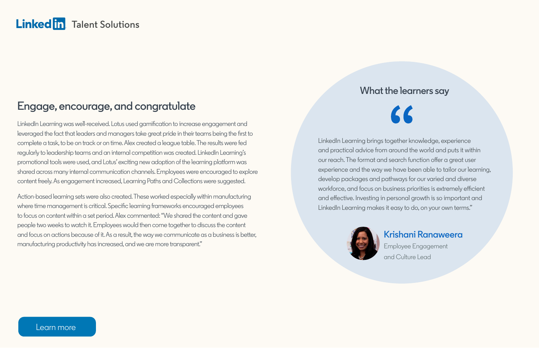#### **Engage, encourage, and congratulate**

LinkedIn Learning was well-received. Lotus used gamification to increase engagement and leveraged the fact that leaders and managers take great pride in their teams being the first to complete a task, to be on track or on time. Alex created a league table. The results were fed regularly to leadership teams and an internal competition was created. LinkedIn Learning's promotional tools were used, and Lotus' exciting new adoption of the learning platform was shared across many internal communication channels. Employees were encouraged to explore content freely. As engagement increased, Learning Paths and Collections were suggested.

Action-based learning sets were also created. These worked especially within manufacturing where time management is critical. Specific learning frameworks encouraged employees to focus on content within a set period. Alex commented: "We shared the content and gave people two weeks to watch it. Employees would then come together to discuss the content and focus on actions because of it. As a result, the way we communicate as a business is better, manufacturing productivity has increased, and we are more transparent."

#### **What the learners say**

LinkedIn Learning brings together knowledge, experience and practical advice from around the world and puts it within our reach. The format and search function offer a great user experience and the way we have been able to tailor our learning, develop packages and pathways for our varied and diverse workforce, and focus on business priorities is extremely efficient and effective. Investing in personal growth is so important and LinkedIn Learning makes it easy to do, on your own terms."



#### **Krishani Ranaweera**

Employee Engagement and Culture Lead